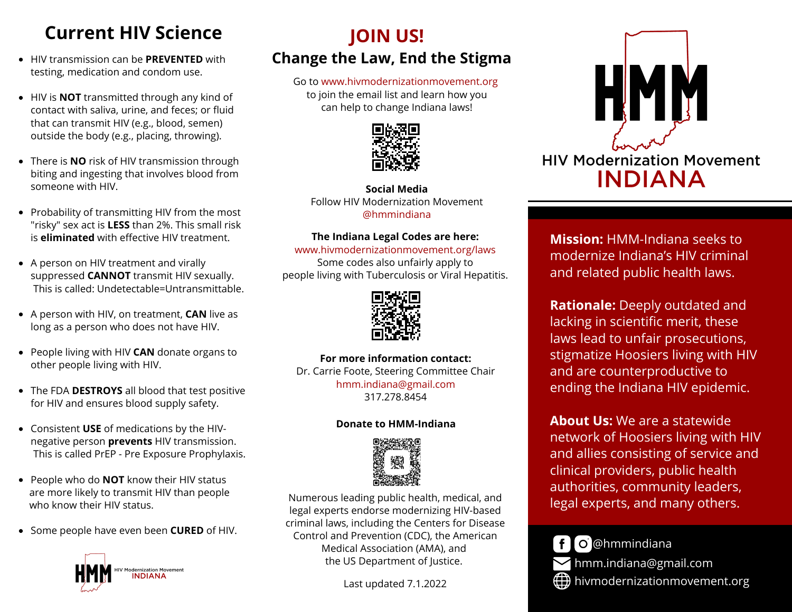# **Current HIV Science**

- HIV transmission can be **PREVENTED** with testing, medication and condom use.
- HIV is **NOT** transmitted through any kind of contact with saliva, urine, and feces; or fluid that can transmit HIV (e.g., blood, semen) outside the body (e.g., placing, throwing).
- There is **NO** risk of HIV transmission through biting and ingesting that involves blood from someone with HIV.
- Probability of transmitting HIV from the most "risky" sex act is **LESS** than 2%. This small risk is **eliminated** with effective HIV treatment.
- A person on HIV treatment and virally suppressed **CANNOT** transmit HIV sexually. This is called: Undetectable=Untransmittable.
- A person with HIV, on treatment, **CAN** live as long as a person who does not have HIV.
- People living with HIV **CAN** donate organs to other people living with HIV.
- The FDA **DESTROYS** all blood that test positive for HIV and ensures blood supply safety.
- Consistent **USE** of medications by the HIVnegative person **prevents** HIV transmission. This is called PrEP - Pre Exposure Prophylaxis.
- People who do **NOT** know their HIV status are more likely to transmit HIV than people who know their HIV status.
- **•** Some people have even been **CURED** of HIV.



## **JOIN US! Change the Law, End the Stigma**

Go to www.hivmodernizationmovement.org to join the email list and learn how you can help to change Indiana laws!



**Social Media** Follow HIV Modernization Movement @hmmindiana

#### **The Indiana Legal Codes are here:**

www.hivmodernizationmovement.org/laws Some codes also unfairly apply to people living with Tuberculosis or Viral Hepatitis.



**For more information contact:** Dr. Carrie Foote, Steering Committee Chair hmm.indiana@gmail.com 317.278.8454

#### **Donate to HMM-Indiana**



Numerous leading public health, medical, and legal experts endorse modernizing HIV-based criminal laws, including the Centers for Disease Control and Prevention (CDC), the American Medical Association (AMA), and the US Department of Justice.

Last updated 7.1.2022



**Mission:** HMM-Indiana seeks to modernize Indiana's HIV criminal and related public health laws.

**Rationale:** Deeply outdated and lacking in scientific merit, these laws lead to unfair prosecutions, stigmatize Hoosiers living with HIV and are counterproductive to ending the Indiana HIV epidemic.

**About Us:** We are a statewide network of Hoosiers living with HIV and allies consisting of service and clinical providers, public health authorities, community leaders, legal experts, and many others.



 $\bigoplus$  hivmodernizationmovement.org hmm.indiana@gmail.com